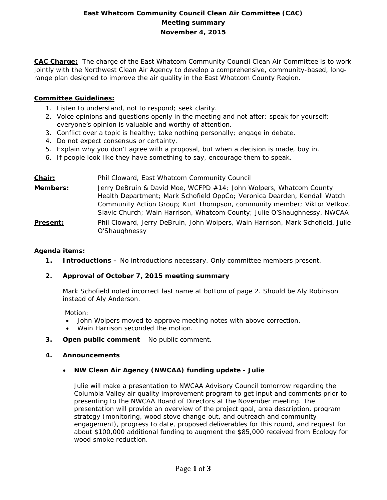# **East Whatcom Community Council Clean Air Committee (CAC) Meeting summary November 4, 2015**

**CAC Charge:** The charge of the East Whatcom Community Council Clean Air Committee is to work jointly with the Northwest Clean Air Agency to develop a comprehensive, community-based, longrange plan designed to improve the air quality in the East Whatcom County Region.

### **Committee Guidelines:**

- 1. Listen to understand, not to respond; seek clarity.
- 2. Voice opinions and questions openly in the meeting and not after; speak for yourself; everyone's opinion is valuable and worthy of attention.
- 3. Conflict over a topic is healthy; take nothing personally; engage in debate.
- 4. Do not expect consensus or certainty.
- 5. Explain why you don't agree with a proposal, but when a decision is made, buy in.
- 6. If people look like they have something to say, encourage them to speak.

# **Chair:** Phil Cloward, East Whatcom Community Council **Members:** Jerry DeBruin & David Moe, WCFPD #14; John Wolpers, Whatcom County Health Department; Mark Schofield OppCo; Veronica Dearden, Kendall Watch Community Action Group; Kurt Thompson, community member; Viktor Vetkov, Slavic Church; Wain Harrison, Whatcom County; Julie O'Shaughnessy, NWCAA **Present:** Phil Cloward, Jerry DeBruin, John Wolpers, Wain Harrison, Mark Schofield, Julie O'Shaughnessy

#### **Agenda items:**

**1. Introductions –** No introductions necessary. Only committee members present.

# **2. Approval of October 7, 2015 meeting summary**

Mark Schofield noted incorrect last name at bottom of page 2. Should be Aly Robinson instead of Aly Anderson.

Motion:

- John Wolpers moved to approve meeting notes with above correction.
- Wain Harrison seconded the motion.
- **3. Open public comment**  No public comment.

#### **4. Announcements**

# • **NW Clean Air Agency (NWCAA) funding update - Julie**

Julie will make a presentation to NWCAA Advisory Council tomorrow regarding the Columbia Valley air quality improvement program to get input and comments prior to presenting to the NWCAA Board of Directors at the November meeting. The presentation will provide an overview of the project goal, area description, program strategy (monitoring, wood stove change-out, and outreach and community engagement), progress to date, proposed deliverables for this round, and request for about \$100,000 additional funding to augment the \$85,000 received from Ecology for wood smoke reduction.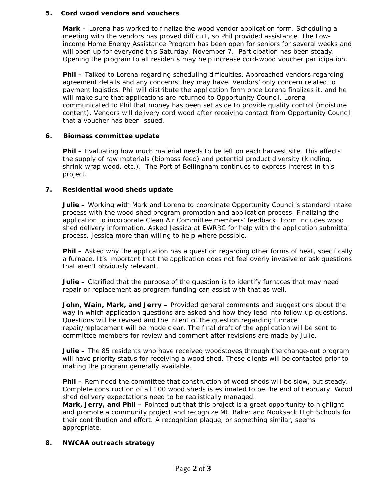#### **5. Cord wood vendors and vouchers**

**Mark –** Lorena has worked to finalize the wood vendor application form. Scheduling a meeting with the vendors has proved difficult, so Phil provided assistance. The Lowincome Home Energy Assistance Program has been open for seniors for several weeks and will open up for everyone this Saturday, November 7. Participation has been steady. Opening the program to all residents may help increase cord-wood voucher participation.

**Phil –** Talked to Lorena regarding scheduling difficulties. Approached vendors regarding agreement details and any concerns they may have. Vendors' only concern related to payment logistics. Phil will distribute the application form once Lorena finalizes it, and he will make sure that applications are returned to Opportunity Council. Lorena communicated to Phil that money has been set aside to provide quality control (moisture content). Vendors will delivery cord wood after receiving contact from Opportunity Council that a voucher has been issued.

# **6. Biomass committee update**

**Phil –** Evaluating how much material needs to be left on each harvest site. This affects the supply of raw materials (biomass feed) and potential product diversity (kindling, shrink-wrap wood, etc.). The Port of Bellingham continues to express interest in this project.

### **7. Residential wood sheds update**

**Julie –** Working with Mark and Lorena to coordinate Opportunity Council's standard intake process with the wood shed program promotion and application process. Finalizing the application to incorporate Clean Air Committee members' feedback. Form includes wood shed delivery information. Asked Jessica at EWRRC for help with the application submittal process. Jessica more than willing to help where possible.

**Phil –** Asked why the application has a question regarding other forms of heat, specifically a furnace. It's important that the application does not feel overly invasive or ask questions that aren't obviously relevant.

**Julie –** Clarified that the purpose of the question is to identify furnaces that may need repair or replacement as program funding can assist with that as well.

**John, Wain, Mark, and Jerry –** Provided general comments and suggestions about the way in which application questions are asked and how they lead into follow-up questions. Questions will be revised and the intent of the question regarding furnace repair/replacement will be made clear. The final draft of the application will be sent to committee members for review and comment after revisions are made by Julie.

**Julie –** The 85 residents who have received woodstoves through the change-out program will have priority status for receiving a wood shed. These clients will be contacted prior to making the program generally available.

Phil - Reminded the committee that construction of wood sheds will be slow, but steady. Complete construction of all 100 wood sheds is estimated to be the end of February. Wood shed delivery expectations need to be realistically managed.

**Mark, Jerry, and Phil –** Pointed out that this project is a great opportunity to highlight and promote a community project and recognize Mt. Baker and Nooksack High Schools for their contribution and effort. A recognition plaque, or something similar, seems appropriate.

# **8. NWCAA outreach strategy**